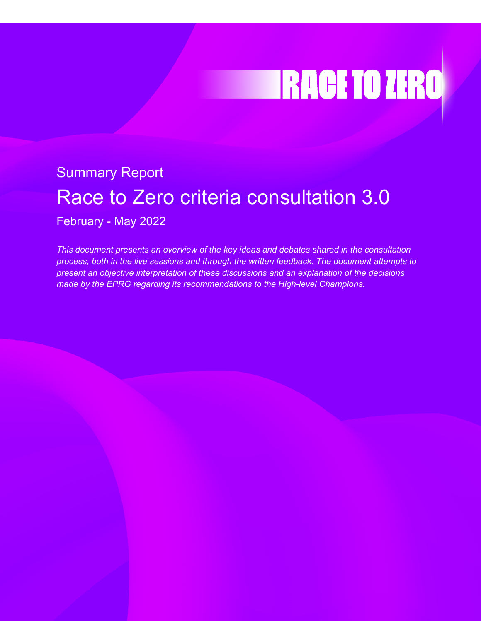# **TRACE TO ZERO**

# Summary Report Race to Zero criteria consultation 3.0

February - May 2022

*This document presents an overview of the key ideas and debates shared in the consultation process, both in the live sessions and through the written feedback. The document attempts to present an objective interpretation of these discussions and an explanation of the decisions made by the EPRG regarding its recommendations to the High-level Champions.*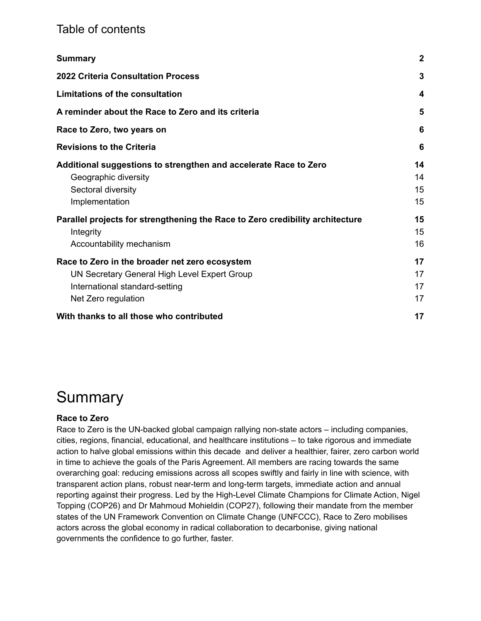### Table of contents

| <b>Summary</b>                                                                                                                                          | $\boldsymbol{2}$     |
|---------------------------------------------------------------------------------------------------------------------------------------------------------|----------------------|
| <b>2022 Criteria Consultation Process</b>                                                                                                               | 3                    |
| <b>Limitations of the consultation</b>                                                                                                                  | 4                    |
| A reminder about the Race to Zero and its criteria                                                                                                      | 5                    |
| Race to Zero, two years on                                                                                                                              | 6                    |
| <b>Revisions to the Criteria</b>                                                                                                                        | 6                    |
| Additional suggestions to strengthen and accelerate Race to Zero<br>Geographic diversity<br>Sectoral diversity<br>Implementation                        | 14<br>14<br>15<br>15 |
| Parallel projects for strengthening the Race to Zero credibility architecture<br>Integrity<br>Accountability mechanism                                  | 15<br>15<br>16       |
| Race to Zero in the broader net zero ecosystem<br>UN Secretary General High Level Expert Group<br>International standard-setting<br>Net Zero regulation | 17<br>17<br>17<br>17 |
| With thanks to all those who contributed                                                                                                                | 17                   |

# <span id="page-1-0"></span>Summary

#### **Race to Zero**

Race to Zero is the UN-backed global campaign rallying non-state actors – including companies, cities, regions, financial, educational, and healthcare institutions – to take rigorous and immediate action to halve global emissions within this decade and deliver a healthier, fairer, zero carbon world in time to achieve the goals of the Paris Agreement. All members are racing towards the same overarching goal: reducing emissions across all scopes swiftly and fairly in line with science, with transparent action plans, robust near-term and long-term targets, immediate action and annual reporting against their progress. Led by the High-Level Climate Champions for Climate Action, Nigel Topping (COP26) and Dr Mahmoud Mohieldin (COP27), following their mandate from the member states of the UN Framework Convention on Climate Change (UNFCCC), Race to Zero mobilises actors across the global economy in radical collaboration to decarbonise, giving national governments the confidence to go further, faster.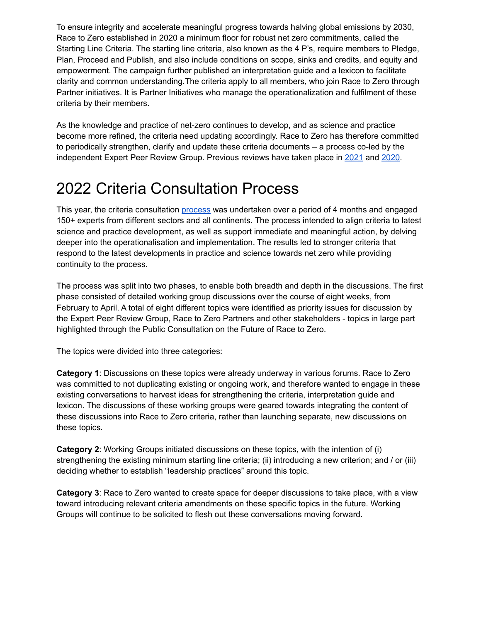To ensure integrity and accelerate meaningful progress towards halving global emissions by 2030, Race to Zero established in 2020 a minimum floor for robust net zero commitments, called the Starting Line Criteria. The starting line criteria, also known as the 4 P's, require members to Pledge, Plan, Proceed and Publish, and also include conditions on scope, sinks and credits, and equity and empowerment. The campaign further published an interpretation guide and a lexicon to facilitate clarity and common understanding.The criteria apply to all members, who join Race to Zero through Partner initiatives. It is Partner Initiatives who manage the operationalization and fulfilment of these criteria by their members.

As the knowledge and practice of net-zero continues to develop, and as science and practice become more refined, the criteria need updating accordingly. Race to Zero has therefore committed to periodically strengthen, clarify and update these criteria documents – a process co-led by the independent Expert Peer Review Group. Previous reviews have taken place in [2021](https://racetozero.unfccc.int/the-race-to-zero-strengthens-and-clarifies-campaign-criteria/) and [2020](https://netzeroclimate.org/wp-content/uploads/2020/12/Net-Zero-Target-Map.pdf).

# <span id="page-2-0"></span>2022 Criteria Consultation Process

This year, the criteria consultation [process](https://racetozero.unfccc.int/2022-criteria-consultation/) was undertaken over a period of 4 months and engaged 150+ experts from different sectors and all continents. The process intended to align criteria to latest science and practice development, as well as support immediate and meaningful action, by delving deeper into the operationalisation and implementation. The results led to stronger criteria that respond to the latest developments in practice and science towards net zero while providing continuity to the process.

The process was split into two phases, to enable both breadth and depth in the discussions. The first phase consisted of detailed working group discussions over the course of eight weeks, from February to April. A total of eight different topics were identified as priority issues for discussion by the Expert Peer Review Group, Race to Zero Partners and other stakeholders - topics in large part highlighted through the Public Consultation on the Future of Race to Zero.

The topics were divided into three categories:

**Category 1**: Discussions on these topics were already underway in various forums. Race to Zero was committed to not duplicating existing or ongoing work, and therefore wanted to engage in these existing conversations to harvest ideas for strengthening the criteria, interpretation guide and lexicon. The discussions of these working groups were geared towards integrating the content of these discussions into Race to Zero criteria, rather than launching separate, new discussions on these topics.

**Category 2**: Working Groups initiated discussions on these topics, with the intention of (i) strengthening the existing minimum starting line criteria; (ii) introducing a new criterion; and / or (iii) deciding whether to establish "leadership practices" around this topic.

**Category 3**: Race to Zero wanted to create space for deeper discussions to take place, with a view toward introducing relevant criteria amendments on these specific topics in the future. Working Groups will continue to be solicited to flesh out these conversations moving forward.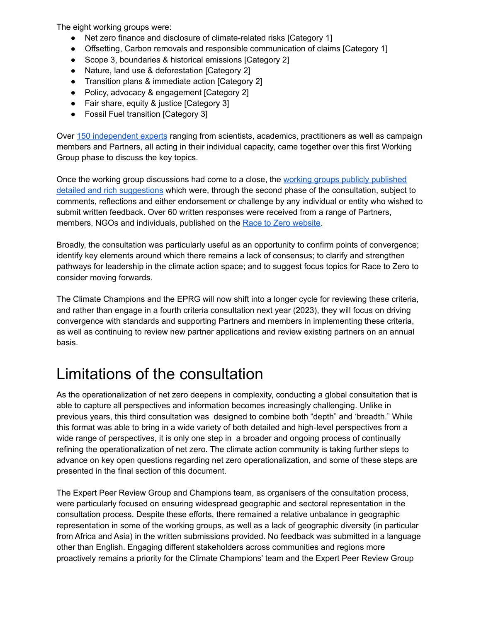The eight working groups were:

- Net zero finance and disclosure of climate-related risks [Category 1]
- Offsetting, Carbon removals and responsible communication of claims [Category 1]
- Scope 3, boundaries & historical emissions [Category 2]
- Nature, land use & deforestation [Category 2]
- Transition plans & immediate action [Category 2]
- Policy, advocacy & engagement [Category 2]
- Fair share, equity & justice [Category 3]
- Fossil Fuel transition [Category 3]

Over [150 independent experts](https://racetozero.unfccc.int/2022-criteria-consultation/) ranging from scientists, academics, practitioners as well as campaign members and Partners, all acting in their individual capacity, came together over this first Working Group phase to discuss the key topics.

Once the working group discussions had come to a close, the [working groups publicly published](https://climatechampions.unfccc.int/launch-of-final-stage-of-2022-race-to-zero-criteria-consultation-process/) [detailed and rich suggestions](https://climatechampions.unfccc.int/launch-of-final-stage-of-2022-race-to-zero-criteria-consultation-process/) which were, through the second phase of the consultation, subject to comments, reflections and either endorsement or challenge by any individual or entity who wished to submit written feedback. Over 60 written responses were received from a range of Partners, members, NGOs and individuals, published on the Race [to Zero website](https://racetozero.unfccc.int/system/criteria/).

Broadly, the consultation was particularly useful as an opportunity to confirm points of convergence; identify key elements around which there remains a lack of consensus; to clarify and strengthen pathways for leadership in the climate action space; and to suggest focus topics for Race to Zero to consider moving forwards.

The Climate Champions and the EPRG will now shift into a longer cycle for reviewing these criteria, and rather than engage in a fourth criteria consultation next year (2023), they will focus on driving convergence with standards and supporting Partners and members in implementing these criteria, as well as continuing to review new partner applications and review existing partners on an annual basis.

# <span id="page-3-0"></span>Limitations of the consultation

As the operationalization of net zero deepens in complexity, conducting a global consultation that is able to capture all perspectives and information becomes increasingly challenging. Unlike in previous years, this third consultation was designed to combine both "depth" and 'breadth." While this format was able to bring in a wide variety of both detailed and high-level perspectives from a wide range of perspectives, it is only one step in a broader and ongoing process of continually refining the operationalization of net zero. The climate action community is taking further steps to advance on key open questions regarding net zero operationalization, and some of these steps are presented in the final section of this document.

The Expert Peer Review Group and Champions team, as organisers of the consultation process, were particularly focused on ensuring widespread geographic and sectoral representation in the consultation process. Despite these efforts, there remained a relative unbalance in geographic representation in some of the working groups, as well as a lack of geographic diversity (in particular from Africa and Asia) in the written submissions provided. No feedback was submitted in a language other than English. Engaging different stakeholders across communities and regions more proactively remains a priority for the Climate Champions' team and the Expert Peer Review Group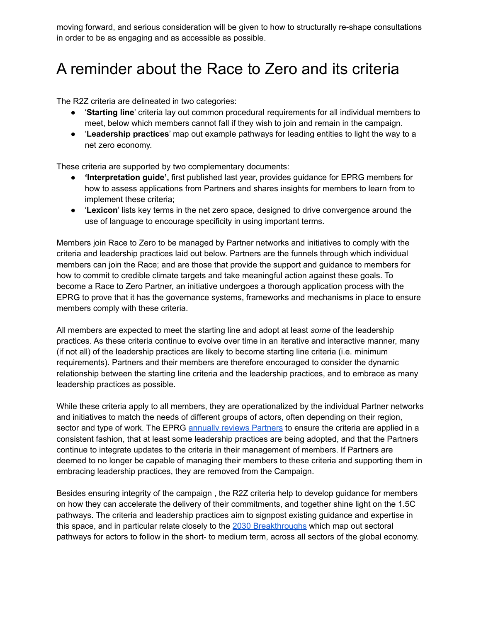moving forward, and serious consideration will be given to how to structurally re-shape consultations in order to be as engaging and as accessible as possible.

# <span id="page-4-0"></span>A reminder about the Race to Zero and its criteria

The R2Z criteria are delineated in two categories:

- '**Starting line**' criteria lay out common procedural requirements for all individual members to meet, below which members cannot fall if they wish to join and remain in the campaign.
- '**Leadership practices**' map out example pathways for leading entities to light the way to a net zero economy.

These criteria are supported by two complementary documents:

- **● 'Interpretation guide',** first published last year, provides guidance for EPRG members for how to assess applications from Partners and shares insights for members to learn from to implement these criteria;
- '**Lexicon**' lists key terms in the net zero space, designed to drive convergence around the use of language to encourage specificity in using important terms.

Members join Race to Zero to be managed by Partner networks and initiatives to comply with the criteria and leadership practices laid out below. Partners are the funnels through which individual members can join the Race; and are those that provide the support and guidance to members for how to commit to credible climate targets and take meaningful action against these goals. To become a Race to Zero Partner, an initiative undergoes a thorough application process with the EPRG to prove that it has the governance systems, frameworks and mechanisms in place to ensure members comply with these criteria.

All members are expected to meet the starting line and adopt at least *some* of the leadership practices. As these criteria continue to evolve over time in an iterative and interactive manner, many (if not all) of the leadership practices are likely to become starting line criteria (i.e. minimum requirements). Partners and their members are therefore encouraged to consider the dynamic relationship between the starting line criteria and the leadership practices, and to embrace as many leadership practices as possible.

While these criteria apply to all members, they are operationalized by the individual Partner networks and initiatives to match the needs of different groups of actors, often depending on their region, sector and type of work. The EPRG [annually reviews](https://docs.google.com/document/d/1nmT4yHC6O9Kpa7uf0NvBUurfURWUxAzX-sRUnG1P570/edit) Partners to ensure the criteria are applied in a consistent fashion, that at least some leadership practices are being adopted, and that the Partners continue to integrate updates to the criteria in their management of members. If Partners are deemed to no longer be capable of managing their members to these criteria and supporting them in embracing leadership practices, they are removed from the Campaign.

Besides ensuring integrity of the campaign , the R2Z criteria help to develop guidance for members on how they can accelerate the delivery of their commitments, and together shine light on the 1.5C pathways. The criteria and leadership practices aim to signpost existing guidance and expertise in this space, and in particular relate closely to the [2030 Breakthroughs](https://racetozero.unfccc.int/system/2030breakthroughs/) which map out sectoral pathways for actors to follow in the short- to medium term, across all sectors of the global economy.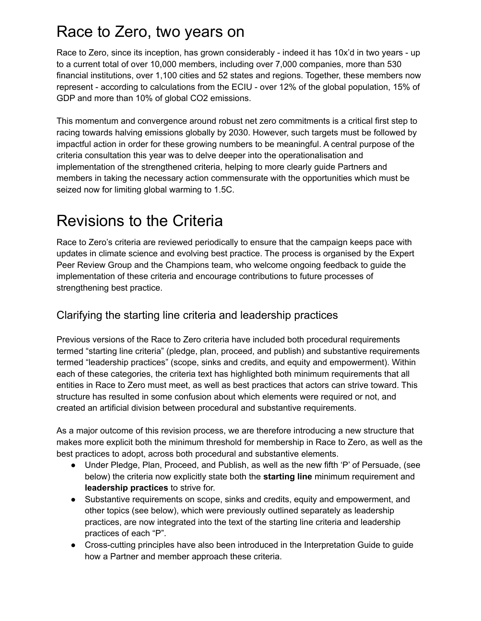# <span id="page-5-0"></span>Race to Zero, two years on

Race to Zero, since its inception, has grown considerably - indeed it has 10x'd in two years - up to a current total of over 10,000 members, including over 7,000 companies, more than 530 financial institutions, over 1,100 cities and 52 states and regions. Together, these members now represent - according to calculations from the ECIU - over 12% of the global population, 15% of GDP and more than 10% of global CO2 emissions.

This momentum and convergence around robust net zero commitments is a critical first step to racing towards halving emissions globally by 2030. However, such targets must be followed by impactful action in order for these growing numbers to be meaningful. A central purpose of the criteria consultation this year was to delve deeper into the operationalisation and implementation of the strengthened criteria, helping to more clearly guide Partners and members in taking the necessary action commensurate with the opportunities which must be seized now for limiting global warming to 1.5C.

# <span id="page-5-1"></span>Revisions to the Criteria

Race to Zero's criteria are reviewed periodically to ensure that the campaign keeps pace with updates in climate science and evolving best practice. The process is organised by the Expert Peer Review Group and the Champions team, who welcome ongoing feedback to guide the implementation of these criteria and encourage contributions to future processes of strengthening best practice.

### Clarifying the starting line criteria and leadership practices

Previous versions of the Race to Zero criteria have included both procedural requirements termed "starting line criteria" (pledge, plan, proceed, and publish) and substantive requirements termed "leadership practices" (scope, sinks and credits, and equity and empowerment). Within each of these categories, the criteria text has highlighted both minimum requirements that all entities in Race to Zero must meet, as well as best practices that actors can strive toward. This structure has resulted in some confusion about which elements were required or not, and created an artificial division between procedural and substantive requirements.

As a major outcome of this revision process, we are therefore introducing a new structure that makes more explicit both the minimum threshold for membership in Race to Zero, as well as the best practices to adopt, across both procedural and substantive elements.

- Under Pledge, Plan, Proceed, and Publish, as well as the new fifth 'P' of Persuade, (see below) the criteria now explicitly state both the **starting line** minimum requirement and **leadership practices** to strive for.
- Substantive requirements on scope, sinks and credits, equity and empowerment, and other topics (see below), which were previously outlined separately as leadership practices, are now integrated into the text of the starting line criteria and leadership practices of each "P".
- Cross-cutting principles have also been introduced in the Interpretation Guide to guide how a Partner and member approach these criteria.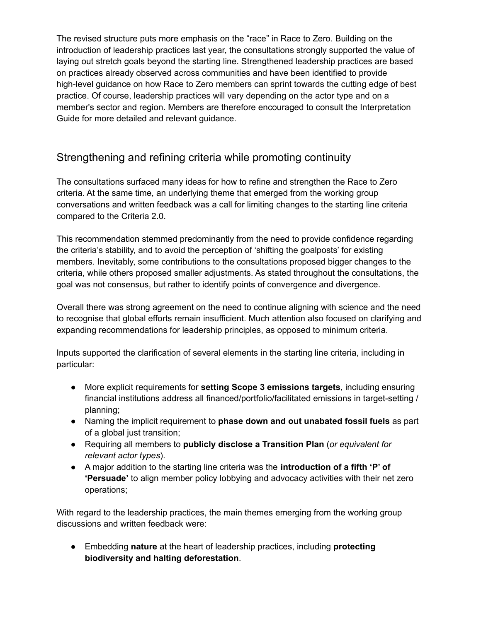The revised structure puts more emphasis on the "race" in Race to Zero. Building on the introduction of leadership practices last year, the consultations strongly supported the value of laying out stretch goals beyond the starting line. Strengthened leadership practices are based on practices already observed across communities and have been identified to provide high-level guidance on how Race to Zero members can sprint towards the cutting edge of best practice. Of course, leadership practices will vary depending on the actor type and on a member's sector and region. Members are therefore encouraged to consult the Interpretation Guide for more detailed and relevant guidance.

### Strengthening and refining criteria while promoting continuity

The consultations surfaced many ideas for how to refine and strengthen the Race to Zero criteria. At the same time, an underlying theme that emerged from the working group conversations and written feedback was a call for limiting changes to the starting line criteria compared to the Criteria 2.0.

This recommendation stemmed predominantly from the need to provide confidence regarding the criteria's stability, and to avoid the perception of 'shifting the goalposts' for existing members. Inevitably, some contributions to the consultations proposed bigger changes to the criteria, while others proposed smaller adjustments. As stated throughout the consultations, the goal was not consensus, but rather to identify points of convergence and divergence.

Overall there was strong agreement on the need to continue aligning with science and the need to recognise that global efforts remain insufficient. Much attention also focused on clarifying and expanding recommendations for leadership principles, as opposed to minimum criteria.

Inputs supported the clarification of several elements in the starting line criteria, including in particular:

- More explicit requirements for **setting Scope 3 emissions targets**, including ensuring financial institutions address all financed/portfolio/facilitated emissions in target-setting / planning;
- Naming the implicit requirement to **phase down and out unabated fossil fuels** as part of a global just transition;
- Requiring all members to **publicly disclose a Transition Plan** (*or equivalent for relevant actor types*).
- A major addition to the starting line criteria was the **introduction of a fifth 'P' of 'Persuade'** to align member policy lobbying and advocacy activities with their net zero operations;

With regard to the leadership practices, the main themes emerging from the working group discussions and written feedback were:

● Embedding **nature** at the heart of leadership practices, including **protecting biodiversity and halting deforestation**.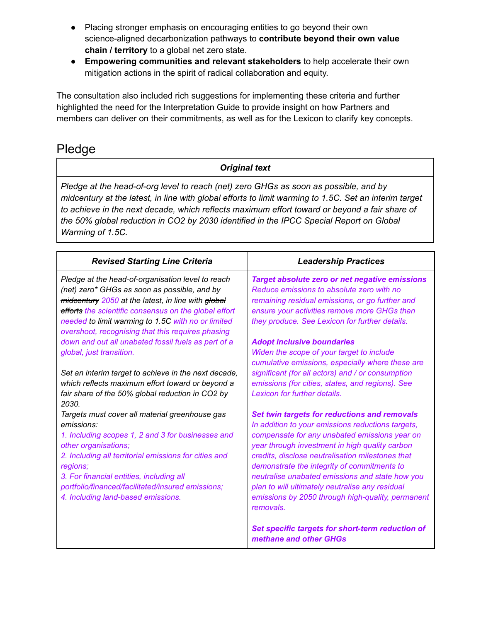- Placing stronger emphasis on encouraging entities to go beyond their own science-aligned decarbonization pathways to **contribute beyond their own value chain / territory** to a global net zero state.
- **Empowering communities and relevant stakeholders** to help accelerate their own mitigation actions in the spirit of radical collaboration and equity.

The consultation also included rich suggestions for implementing these criteria and further highlighted the need for the Interpretation Guide to provide insight on how Partners and members can deliver on their commitments, as well as for the Lexicon to clarify key concepts.

### Pledge

#### *Original text*

*Pledge at the head-of-org level to reach (net) zero GHGs as soon as possible, and by* midcentury at the latest, in line with global efforts to limit warming to 1.5C. Set an interim target *to achieve in the next decade, which reflects maximum effort toward or beyond a fair share of the 50% global reduction in CO2 by 2030 identified in the IPCC Special Report on Global Warming of 1.5C.*

| <b>Revised Starting Line Criteria</b>                                                                                                                                                                                                                                                                                                                 | <b>Leadership Practices</b>                                                                                                                                                                                                                                                                                                                                                                                                                                                     |
|-------------------------------------------------------------------------------------------------------------------------------------------------------------------------------------------------------------------------------------------------------------------------------------------------------------------------------------------------------|---------------------------------------------------------------------------------------------------------------------------------------------------------------------------------------------------------------------------------------------------------------------------------------------------------------------------------------------------------------------------------------------------------------------------------------------------------------------------------|
| Pledge at the head-of-organisation level to reach<br>(net) zero* GHGs as soon as possible, and by<br>mideentury 2050 at the latest, in line with global<br>efforts the scientific consensus on the global effort<br>needed to limit warming to 1.5C with no or limited<br>overshoot, recognising that this requires phasing                           | Target absolute zero or net negative emissions<br>Reduce emissions to absolute zero with no<br>remaining residual emissions, or go further and<br>ensure your activities remove more GHGs than<br>they produce. See Lexicon for further details.                                                                                                                                                                                                                                |
| down and out all unabated fossil fuels as part of a<br>global, just transition.                                                                                                                                                                                                                                                                       | <b>Adopt inclusive boundaries</b><br>Widen the scope of your target to include<br>cumulative emissions, especially where these are                                                                                                                                                                                                                                                                                                                                              |
| Set an interim target to achieve in the next decade,<br>which reflects maximum effort toward or beyond a<br>fair share of the 50% global reduction in CO2 by<br>2030.                                                                                                                                                                                 | significant (for all actors) and / or consumption<br>emissions (for cities, states, and regions). See<br>Lexicon for further details.                                                                                                                                                                                                                                                                                                                                           |
| Targets must cover all material greenhouse gas<br>emissions:<br>1. Including scopes 1, 2 and 3 for businesses and<br>other organisations;<br>2. Including all territorial emissions for cities and<br>regions;<br>3. For financial entities, including all<br>portfolio/financed/facilitated/insured emissions;<br>4. Including land-based emissions. | Set twin targets for reductions and removals<br>In addition to your emissions reductions targets,<br>compensate for any unabated emissions year on<br>year through investment in high quality carbon<br>credits, disclose neutralisation milestones that<br>demonstrate the integrity of commitments to<br>neutralise unabated emissions and state how you<br>plan to will ultimately neutralise any residual<br>emissions by 2050 through high-quality, permanent<br>removals. |
|                                                                                                                                                                                                                                                                                                                                                       | Set specific targets for short-term reduction of<br>methane and other GHGs                                                                                                                                                                                                                                                                                                                                                                                                      |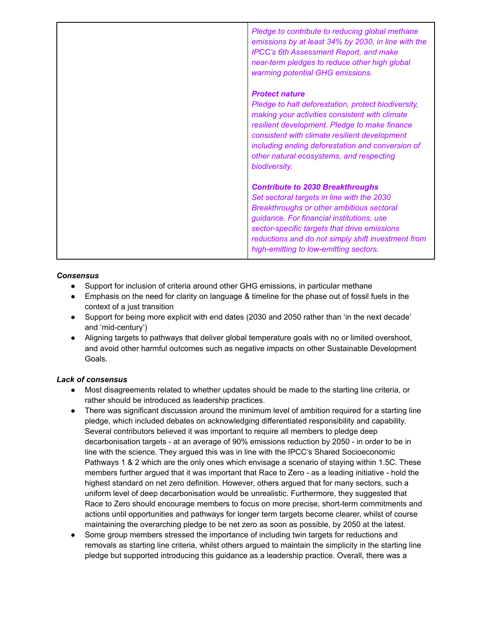| Pledge to contribute to reducing global methane<br>emissions by at least 34% by 2030, in line with the<br><b>IPCC's 6th Assessment Report, and make</b><br>near-term pledges to reduce other high global<br>warming potential GHG emissions.                                                                                                      |
|---------------------------------------------------------------------------------------------------------------------------------------------------------------------------------------------------------------------------------------------------------------------------------------------------------------------------------------------------|
| <b>Protect nature</b><br>Pledge to halt deforestation, protect biodiversity,<br>making your activities consistent with climate<br>resilient development. Pledge to make finance<br>consistent with climate resilient development<br>including ending deforestation and conversion of<br>other natural ecosystems, and respecting<br>biodiversity. |
| <b>Contribute to 2030 Breakthroughs</b><br>Set sectoral targets in line with the 2030<br>Breakthroughs or other ambitious sectoral<br>guidance. For financial institutions, use<br>sector-specific targets that drive emissions<br>reductions and do not simply shift investment from<br>high-emitting to low-emitting sectors.                   |

#### *Consensus*

- Support for inclusion of criteria around other GHG emissions, in particular methane
- Emphasis on the need for clarity on language & timeline for the phase out of fossil fuels in the context of a just transition
- Support for being more explicit with end dates (2030 and 2050 rather than 'in the next decade' and 'mid-century')
- Aligning targets to pathways that deliver global temperature goals with no or limited overshoot, and avoid other harmful outcomes such as negative impacts on other Sustainable Development Goals.

#### *Lack of consensus*

- Most disagreements related to whether updates should be made to the starting line criteria, or rather should be introduced as leadership practices.
- There was significant discussion around the minimum level of ambition required for a starting line pledge, which included debates on acknowledging differentiated responsibility and capability. Several contributors believed it was important to require all members to pledge deep decarbonisation targets - at an average of 90% emissions reduction by 2050 - in order to be in line with the science. They argued this was in line with the IPCC's Shared Socioeconomic Pathways 1 & 2 which are the only ones which envisage a scenario of staying within 1.5C. These members further argued that it was important that Race to Zero - as a leading initiative - hold the highest standard on net zero definition. However, others argued that for many sectors, such a uniform level of deep decarbonisation would be unrealistic. Furthermore, they suggested that Race to Zero should encourage members to focus on more precise, short-term commitments and actions until opportunities and pathways for longer term targets become clearer, whilst of course maintaining the overarching pledge to be net zero as soon as possible, by 2050 at the latest.
- Some group members stressed the importance of including twin targets for reductions and removals as starting line criteria, whilst others argued to maintain the simplicity in the starting line pledge but supported introducing this guidance as a leadership practice. Overall, there was a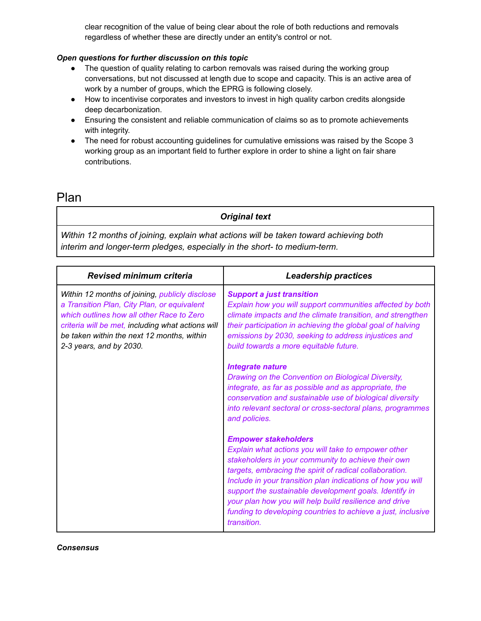clear recognition of the value of being clear about the role of both reductions and removals regardless of whether these are directly under an entity's control or not.

#### *Open questions for further discussion on this topic*

- The question of quality relating to carbon removals was raised during the working group conversations, but not discussed at length due to scope and capacity. This is an active area of work by a number of groups, which the EPRG is following closely.
- How to incentivise corporates and investors to invest in high quality carbon credits alongside deep decarbonization.
- Ensuring the consistent and reliable communication of claims so as to promote achievements with integrity.
- The need for robust accounting guidelines for cumulative emissions was raised by the Scope 3 working group as an important field to further explore in order to shine a light on fair share contributions.

### Plan

#### *Original text*

*Within 12 months of joining, explain what actions will be taken toward achieving both interim and longer-term pledges, especially in the short- to medium-term.*

| <b>Revised minimum criteria</b>                                                                                                                                                                                                                                          | <b>Leadership practices</b>                                                                                                                                                                                                                                                                                                                                                                                                                                            |
|--------------------------------------------------------------------------------------------------------------------------------------------------------------------------------------------------------------------------------------------------------------------------|------------------------------------------------------------------------------------------------------------------------------------------------------------------------------------------------------------------------------------------------------------------------------------------------------------------------------------------------------------------------------------------------------------------------------------------------------------------------|
| Within 12 months of joining, publicly disclose<br>a Transition Plan, City Plan, or equivalent<br>which outlines how all other Race to Zero<br>criteria will be met, including what actions will<br>be taken within the next 12 months, within<br>2-3 years, and by 2030. | <b>Support a just transition</b><br>Explain how you will support communities affected by both<br>climate impacts and the climate transition, and strengthen<br>their participation in achieving the global goal of halving<br>emissions by 2030, seeking to address injustices and<br>build towards a more equitable future.                                                                                                                                           |
|                                                                                                                                                                                                                                                                          | <b>Integrate nature</b><br>Drawing on the Convention on Biological Diversity,<br>integrate, as far as possible and as appropriate, the<br>conservation and sustainable use of biological diversity<br>into relevant sectoral or cross-sectoral plans, programmes<br>and policies.                                                                                                                                                                                      |
|                                                                                                                                                                                                                                                                          | <b>Empower stakeholders</b><br>Explain what actions you will take to empower other<br>stakeholders in your community to achieve their own<br>targets, embracing the spirit of radical collaboration.<br>Include in your transition plan indications of how you will<br>support the sustainable development goals. Identify in<br>your plan how you will help build resilience and drive<br>funding to developing countries to achieve a just, inclusive<br>transition. |

*Consensus*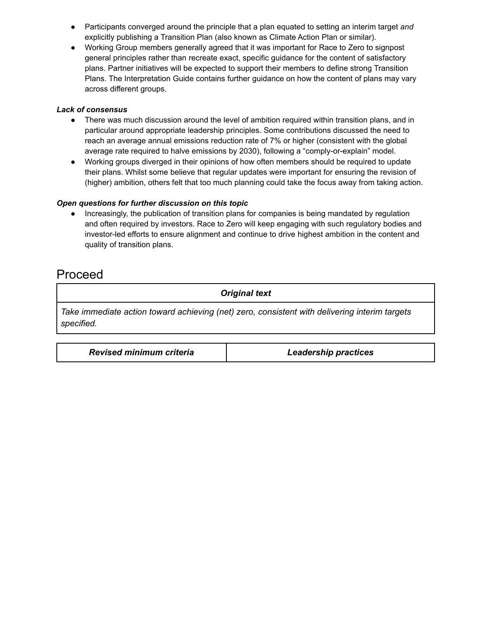- Participants converged around the principle that a plan equated to setting an interim target *and* explicitly publishing a Transition Plan (also known as Climate Action Plan or similar).
- Working Group members generally agreed that it was important for Race to Zero to signpost general principles rather than recreate exact, specific guidance for the content of satisfactory plans. Partner initiatives will be expected to support their members to define strong Transition Plans. The Interpretation Guide contains further guidance on how the content of plans may vary across different groups.

#### *Lack of consensus*

- There was much discussion around the level of ambition required within transition plans, and in particular around appropriate leadership principles. Some contributions discussed the need to reach an average annual emissions reduction rate of 7% or higher (consistent with the global average rate required to halve emissions by 2030), following a "comply-or-explain" model.
- Working groups diverged in their opinions of how often members should be required to update their plans. Whilst some believe that regular updates were important for ensuring the revision of (higher) ambition, others felt that too much planning could take the focus away from taking action.

#### *Open questions for further discussion on this topic*

Increasingly, the publication of transition plans for companies is being mandated by regulation and often required by investors. Race to Zero will keep engaging with such regulatory bodies and investor-led efforts to ensure alignment and continue to drive highest ambition in the content and quality of transition plans.

### Proceed

*Original text*

*Take immediate action toward achieving (net) zero, consistent with delivering interim targets specified.*

| <b>Revised minimum criteria</b><br><b>Leadership practices</b> |
|----------------------------------------------------------------|
|----------------------------------------------------------------|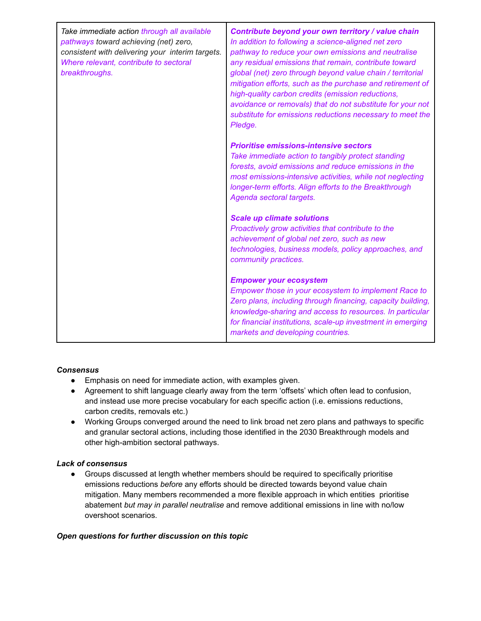| Take immediate action through all available<br>pathways toward achieving (net) zero,<br>consistent with delivering your interim targets.<br>Where relevant, contribute to sectoral<br>breakthroughs. | Contribute beyond your own territory / value chain<br>In addition to following a science-aligned net zero<br>pathway to reduce your own emissions and neutralise<br>any residual emissions that remain, contribute toward<br>global (net) zero through beyond value chain / territorial<br>mitigation efforts, such as the purchase and retirement of<br>high-quality carbon credits (emission reductions,<br>avoidance or removals) that do not substitute for your not<br>substitute for emissions reductions necessary to meet the<br>Pledge. |
|------------------------------------------------------------------------------------------------------------------------------------------------------------------------------------------------------|--------------------------------------------------------------------------------------------------------------------------------------------------------------------------------------------------------------------------------------------------------------------------------------------------------------------------------------------------------------------------------------------------------------------------------------------------------------------------------------------------------------------------------------------------|
|                                                                                                                                                                                                      | <b>Prioritise emissions-intensive sectors</b><br>Take immediate action to tangibly protect standing<br>forests, avoid emissions and reduce emissions in the<br>most emissions-intensive activities, while not neglecting<br>longer-term efforts. Align efforts to the Breakthrough<br>Agenda sectoral targets.                                                                                                                                                                                                                                   |
|                                                                                                                                                                                                      | <b>Scale up climate solutions</b><br>Proactively grow activities that contribute to the<br>achievement of global net zero, such as new<br>technologies, business models, policy approaches, and<br>community practices.                                                                                                                                                                                                                                                                                                                          |
|                                                                                                                                                                                                      | <b>Empower your ecosystem</b><br>Empower those in your ecosystem to implement Race to<br>Zero plans, including through financing, capacity building,<br>knowledge-sharing and access to resources. In particular<br>for financial institutions, scale-up investment in emerging<br>markets and developing countries.                                                                                                                                                                                                                             |

#### *Consensus*

- Emphasis on need for immediate action, with examples given.
- Agreement to shift language clearly away from the term 'offsets' which often lead to confusion, and instead use more precise vocabulary for each specific action (i.e. emissions reductions, carbon credits, removals etc.)
- Working Groups converged around the need to link broad net zero plans and pathways to specific and granular sectoral actions, including those identified in the 2030 Breakthrough models and other high-ambition sectoral pathways.

#### *Lack of consensus*

● Groups discussed at length whether members should be required to specifically prioritise emissions reductions *before* any efforts should be directed towards beyond value chain mitigation. Many members recommended a more flexible approach in which entities prioritise abatement *but may in parallel neutralise* and remove additional emissions in line with no/low overshoot scenarios.

#### *Open questions for further discussion on this topic*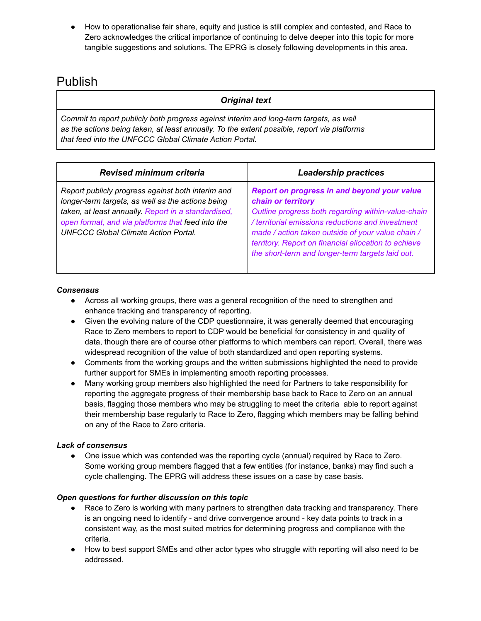How to operationalise fair share, equity and justice is still complex and contested, and Race to Zero acknowledges the critical importance of continuing to delve deeper into this topic for more tangible suggestions and solutions. The EPRG is closely following developments in this area.

### Publish

#### *Original text*

*Commit to report publicly both progress against interim and long-term targets, as well as the actions being taken, at least annually. To the extent possible, report via platforms that feed into the UNFCCC Global Climate Action Portal.*

| <b>Revised minimum criteria</b>                                                                                                                                                                                                                                   | <b>Leadership practices</b>                                                                                                                                                                                                                                                                                                                   |
|-------------------------------------------------------------------------------------------------------------------------------------------------------------------------------------------------------------------------------------------------------------------|-----------------------------------------------------------------------------------------------------------------------------------------------------------------------------------------------------------------------------------------------------------------------------------------------------------------------------------------------|
| Report publicly progress against both interim and<br>longer-term targets, as well as the actions being<br>taken, at least annually. Report in a standardised,<br>open format, and via platforms that feed into the<br><b>UNFCCC Global Climate Action Portal.</b> | Report on progress in and beyond your value<br>chain or territory<br>Outline progress both regarding within-value-chain<br>/ territorial emissions reductions and investment<br>made / action taken outside of your value chain /<br>territory. Report on financial allocation to achieve<br>the short-term and longer-term targets laid out. |

#### *Consensus*

- Across all working groups, there was a general recognition of the need to strengthen and enhance tracking and transparency of reporting.
- Given the evolving nature of the CDP questionnaire, it was generally deemed that encouraging Race to Zero members to report to CDP would be beneficial for consistency in and quality of data, though there are of course other platforms to which members can report. Overall, there was widespread recognition of the value of both standardized and open reporting systems.
- Comments from the working groups and the written submissions highlighted the need to provide further support for SMEs in implementing smooth reporting processes.
- Many working group members also highlighted the need for Partners to take responsibility for reporting the aggregate progress of their membership base back to Race to Zero on an annual basis, flagging those members who may be struggling to meet the criteria able to report against their membership base regularly to Race to Zero, flagging which members may be falling behind on any of the Race to Zero criteria.

#### *Lack of consensus*

• One issue which was contended was the reporting cycle (annual) required by Race to Zero. Some working group members flagged that a few entities (for instance, banks) may find such a cycle challenging. The EPRG will address these issues on a case by case basis.

#### *Open questions for further discussion on this topic*

- Race to Zero is working with many partners to strengthen data tracking and transparency. There is an ongoing need to identify - and drive convergence around - key data points to track in a consistent way, as the most suited metrics for determining progress and compliance with the criteria.
- How to best support SMEs and other actor types who struggle with reporting will also need to be addressed.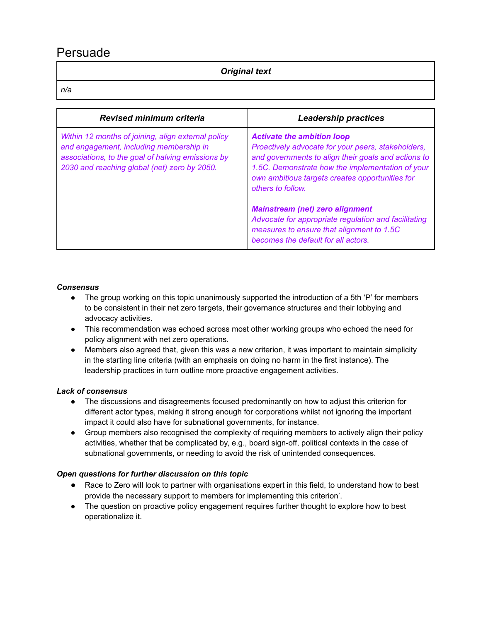### Persuade

#### *Original text*

*n/a*

| <b>Revised minimum criteria</b>                                                                                                                                                                    | <b>Leadership practices</b>                                                                                                                                                                                                                                                |
|----------------------------------------------------------------------------------------------------------------------------------------------------------------------------------------------------|----------------------------------------------------------------------------------------------------------------------------------------------------------------------------------------------------------------------------------------------------------------------------|
| Within 12 months of joining, align external policy<br>and engagement, including membership in<br>associations, to the goal of halving emissions by<br>2030 and reaching global (net) zero by 2050. | <b>Activate the ambition loop</b><br>Proactively advocate for your peers, stakeholders,<br>and governments to align their goals and actions to<br>1.5C. Demonstrate how the implementation of your<br>own ambitious targets creates opportunities for<br>others to follow. |
|                                                                                                                                                                                                    | <b>Mainstream (net) zero alignment</b><br>Advocate for appropriate regulation and facilitating<br>measures to ensure that alignment to 1.5C<br>becomes the default for all actors.                                                                                         |

#### *Consensus*

- The group working on this topic unanimously supported the introduction of a 5th 'P' for members to be consistent in their net zero targets, their governance structures and their lobbying and advocacy activities.
- This recommendation was echoed across most other working groups who echoed the need for policy alignment with net zero operations.
- Members also agreed that, given this was a new criterion, it was important to maintain simplicity in the starting line criteria (with an emphasis on doing no harm in the first instance). The leadership practices in turn outline more proactive engagement activities.

#### *Lack of consensus*

- The discussions and disagreements focused predominantly on how to adjust this criterion for different actor types, making it strong enough for corporations whilst not ignoring the important impact it could also have for subnational governments, for instance.
- Group members also recognised the complexity of requiring members to actively align their policy activities, whether that be complicated by, e.g., board sign-off, political contexts in the case of subnational governments, or needing to avoid the risk of unintended consequences.

#### *Open questions for further discussion on this topic*

- Race to Zero will look to partner with organisations expert in this field, to understand how to best provide the necessary support to members for implementing this criterion'.
- The question on proactive policy engagement requires further thought to explore how to best operationalize it.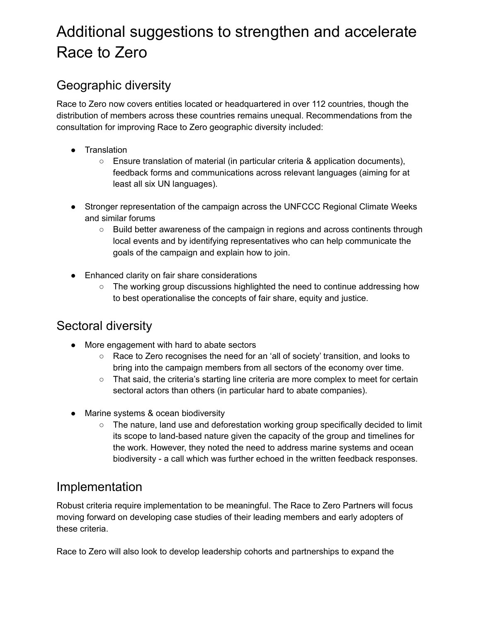# <span id="page-14-0"></span>Additional suggestions to strengthen and accelerate Race to Zero

# <span id="page-14-1"></span>Geographic diversity

Race to Zero now covers entities located or headquartered in over 112 countries, though the distribution of members across these countries remains unequal. Recommendations from the consultation for improving Race to Zero geographic diversity included:

- Translation
	- $\circ$  Ensure translation of material (in particular criteria & application documents), feedback forms and communications across relevant languages (aiming for at least all six UN languages).
- Stronger representation of the campaign across the UNFCCC Regional Climate Weeks and similar forums
	- Build better awareness of the campaign in regions and across continents through local events and by identifying representatives who can help communicate the goals of the campaign and explain how to join.
- Enhanced clarity on fair share considerations
	- The working group discussions highlighted the need to continue addressing how to best operationalise the concepts of fair share, equity and justice.

# <span id="page-14-2"></span>Sectoral diversity

- More engagement with hard to abate sectors
	- Race to Zero recognises the need for an 'all of society' transition, and looks to bring into the campaign members from all sectors of the economy over time.
	- That said, the criteria's starting line criteria are more complex to meet for certain sectoral actors than others (in particular hard to abate companies).
- Marine systems & ocean biodiversity
	- The nature, land use and deforestation working group specifically decided to limit its scope to land-based nature given the capacity of the group and timelines for the work. However, they noted the need to address marine systems and ocean biodiversity - a call which was further echoed in the written feedback responses.

### <span id="page-14-3"></span>Implementation

Robust criteria require implementation to be meaningful. The Race to Zero Partners will focus moving forward on developing case studies of their leading members and early adopters of these criteria.

Race to Zero will also look to develop leadership cohorts and partnerships to expand the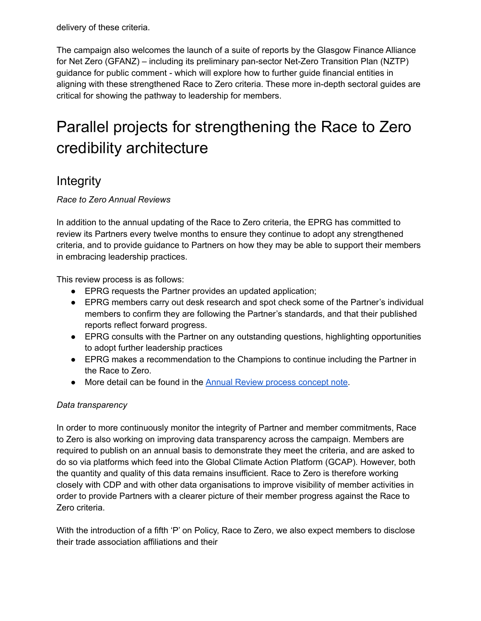delivery of these criteria.

The campaign also welcomes the launch of a suite of reports by the Glasgow Finance Alliance for Net Zero (GFANZ) – including its preliminary pan-sector Net-Zero Transition Plan (NZTP) guidance for public comment - which will explore how to further guide financial entities in aligning with these strengthened Race to Zero criteria. These more in-depth sectoral guides are critical for showing the pathway to leadership for members.

# <span id="page-15-0"></span>Parallel projects for strengthening the Race to Zero credibility architecture

### <span id="page-15-1"></span>**Integrity**

*Race to Zero Annual Reviews*

In addition to the annual updating of the Race to Zero criteria, the EPRG has committed to review its Partners every twelve months to ensure they continue to adopt any strengthened criteria, and to provide guidance to Partners on how they may be able to support their members in embracing leadership practices.

This review process is as follows:

- EPRG requests the Partner provides an updated application;
- EPRG members carry out desk research and spot check some of the Partner's individual members to confirm they are following the Partner's standards, and that their published reports reflect forward progress.
- EPRG consults with the Partner on any outstanding questions, highlighting opportunities to adopt further leadership practices
- EPRG makes a recommendation to the Champions to continue including the Partner in the Race to Zero.
- More detail can be found in the Annual Review [process](https://docs.google.com/document/d/1nmT4yHC6O9Kpa7uf0NvBUurfURWUxAzX-sRUnG1P570/edit) concept note.

#### *Data transparency*

In order to more continuously monitor the integrity of Partner and member commitments, Race to Zero is also working on improving data transparency across the campaign. Members are required to publish on an annual basis to demonstrate they meet the criteria, and are asked to do so via platforms which feed into the Global Climate Action Platform (GCAP). However, both the quantity and quality of this data remains insufficient. Race to Zero is therefore working closely with CDP and with other data organisations to improve visibility of member activities in order to provide Partners with a clearer picture of their member progress against the Race to Zero criteria.

With the introduction of a fifth 'P' on Policy, Race to Zero, we also expect members to disclose their trade association affiliations and their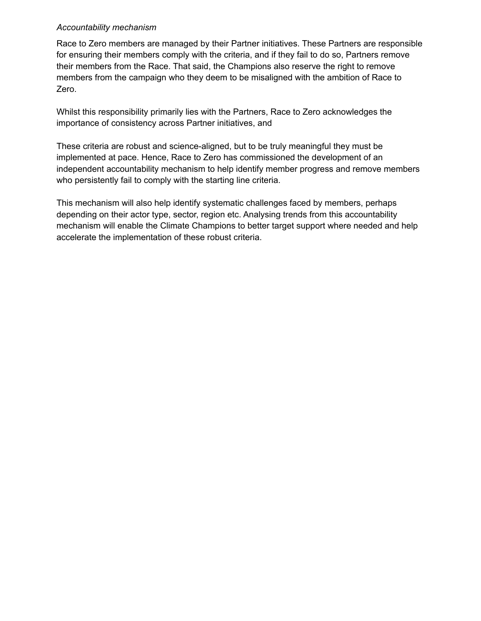#### <span id="page-16-0"></span>*Accountability mechanism*

Race to Zero members are managed by their Partner initiatives. These Partners are responsible for ensuring their members comply with the criteria, and if they fail to do so, Partners remove their members from the Race. That said, the Champions also reserve the right to remove members from the campaign who they deem to be misaligned with the ambition of Race to Zero.

Whilst this responsibility primarily lies with the Partners, Race to Zero acknowledges the importance of consistency across Partner initiatives, and

These criteria are robust and science-aligned, but to be truly meaningful they must be implemented at pace. Hence, Race to Zero has commissioned the development of an independent accountability mechanism to help identify member progress and remove members who persistently fail to comply with the starting line criteria.

This mechanism will also help identify systematic challenges faced by members, perhaps depending on their actor type, sector, region etc. Analysing trends from this accountability mechanism will enable the Climate Champions to better target support where needed and help accelerate the implementation of these robust criteria.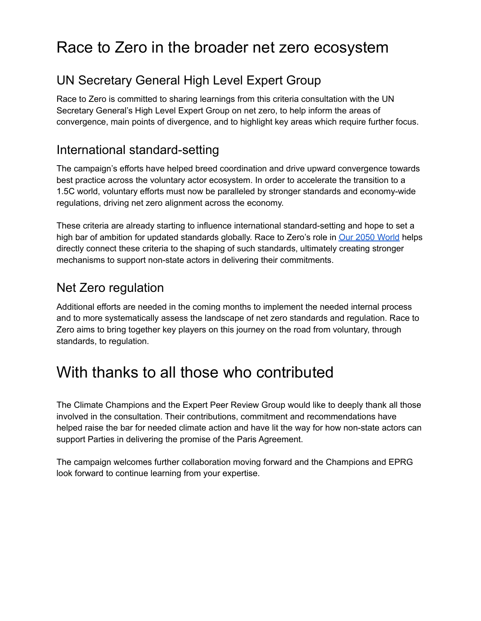# <span id="page-17-0"></span>Race to Zero in the broader net zero ecosystem

# <span id="page-17-1"></span>UN Secretary General High Level Expert Group

Race to Zero is committed to sharing learnings from this criteria consultation with the UN Secretary General's High Level Expert Group on net zero, to help inform the areas of convergence, main points of divergence, and to highlight key areas which require further focus.

### <span id="page-17-2"></span>International standard-setting

The campaign's efforts have helped breed coordination and drive upward convergence towards best practice across the voluntary actor ecosystem. In order to accelerate the transition to a 1.5C world, voluntary efforts must now be paralleled by stronger standards and economy-wide regulations, driving net zero alignment across the economy.

These criteria are already starting to influence international standard-setting and hope to set a high bar of ambition for updated standards globally. Race to Zero's role in Our 2050 [World](https://our2050.world/) helps directly connect these criteria to the shaping of such standards, ultimately creating stronger mechanisms to support non-state actors in delivering their commitments.

## <span id="page-17-3"></span>Net Zero regulation

Additional efforts are needed in the coming months to implement the needed internal process and to more systematically assess the landscape of net zero standards and regulation. Race to Zero aims to bring together key players on this journey on the road from voluntary, through standards, to regulation.

# <span id="page-17-4"></span>With thanks to all those who contributed

The Climate Champions and the Expert Peer Review Group would like to deeply thank all those involved in the consultation. Their contributions, commitment and recommendations have helped raise the bar for needed climate action and have lit the way for how non-state actors can support Parties in delivering the promise of the Paris Agreement.

The campaign welcomes further collaboration moving forward and the Champions and EPRG look forward to continue learning from your expertise.